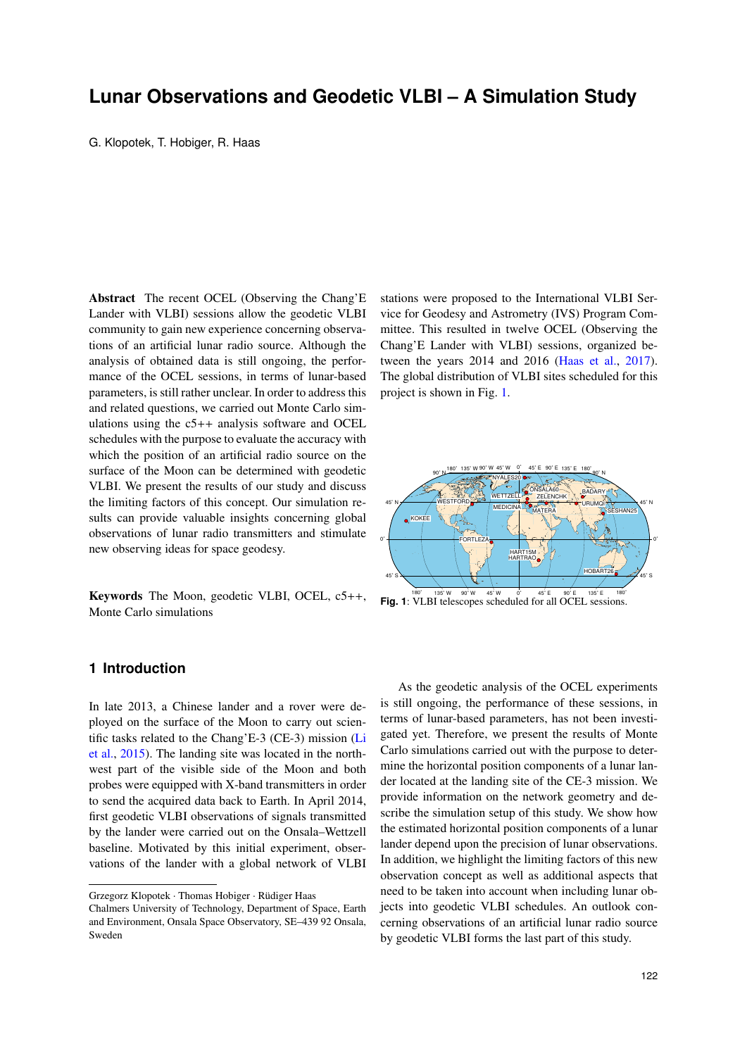# **Lunar Observations and Geodetic VLBI – A Simulation Study**

G. Klopotek, T. Hobiger, R. Haas

Abstract The recent OCEL (Observing the Chang'E Lander with VLBI) sessions allow the geodetic VLBI community to gain new experience concerning observations of an artificial lunar radio source. Although the analysis of obtained data is still ongoing, the performance of the OCEL sessions, in terms of lunar-based parameters, is still rather unclear. In order to address this and related questions, we carried out Monte Carlo simulations using the c5++ analysis software and OCEL schedules with the purpose to evaluate the accuracy with which the position of an artificial radio source on the surface of the Moon can be determined with geodetic VLBI. We present the results of our study and discuss the limiting factors of this concept. Our simulation results can provide valuable insights concerning global observations of lunar radio transmitters and stimulate new observing ideas for space geodesy.

Keywords The Moon, geodetic VLBI, OCEL, c5++, Monte Carlo simulations

## **1 Introduction**

In late 2013, a Chinese lander and a rover were deployed on the surface of the Moon to carry out scientific tasks related to the Chang'E-3 (CE-3) mission (Li et al., 2015). The landing site was located in the northwest part of the visible side of the Moon and both probes were equipped with X-band transmitters in order to send the acquired data back to Earth. In April 2014, first geodetic VLBI observations of signals transmitted by the lander were carried out on the Onsala–Wettzell baseline. Motivated by this initial experiment, observations of the lander with a global network of VLBI

Grzegorz Klopotek · Thomas Hobiger · Rüdiger Haas

stations were proposed to the International VLBI Service for Geodesy and Astrometry (IVS) Program Committee. This resulted in twelve OCEL (Observing the Chang'E Lander with VLBI) sessions, organized between the years 2014 and 2016 (Haas et al., 2017). The global distribution of VLBI sites scheduled for this project is shown in Fig. 1.



Fig. 1:<sup>80°</sup> 135°W 90°W 45°W 0° 45°E 90°E 135°E 180°<br>Fig. 1: VLBI telescopes scheduled for all OCEL sessions.

As the geodetic analysis of the OCEL experiments is still ongoing, the performance of these sessions, in terms of lunar-based parameters, has not been investigated yet. Therefore, we present the results of Monte Carlo simulations carried out with the purpose to determine the horizontal position components of a lunar lander located at the landing site of the CE-3 mission. We provide information on the network geometry and describe the simulation setup of this study. We show how the estimated horizontal position components of a lunar lander depend upon the precision of lunar observations. In addition, we highlight the limiting factors of this new observation concept as well as additional aspects that need to be taken into account when including lunar objects into geodetic VLBI schedules. An outlook concerning observations of an artificial lunar radio source by geodetic VLBI forms the last part of this study.

Chalmers University of Technology, Department of Space, Earth and Environment, Onsala Space Observatory, SE–439 92 Onsala, Sweden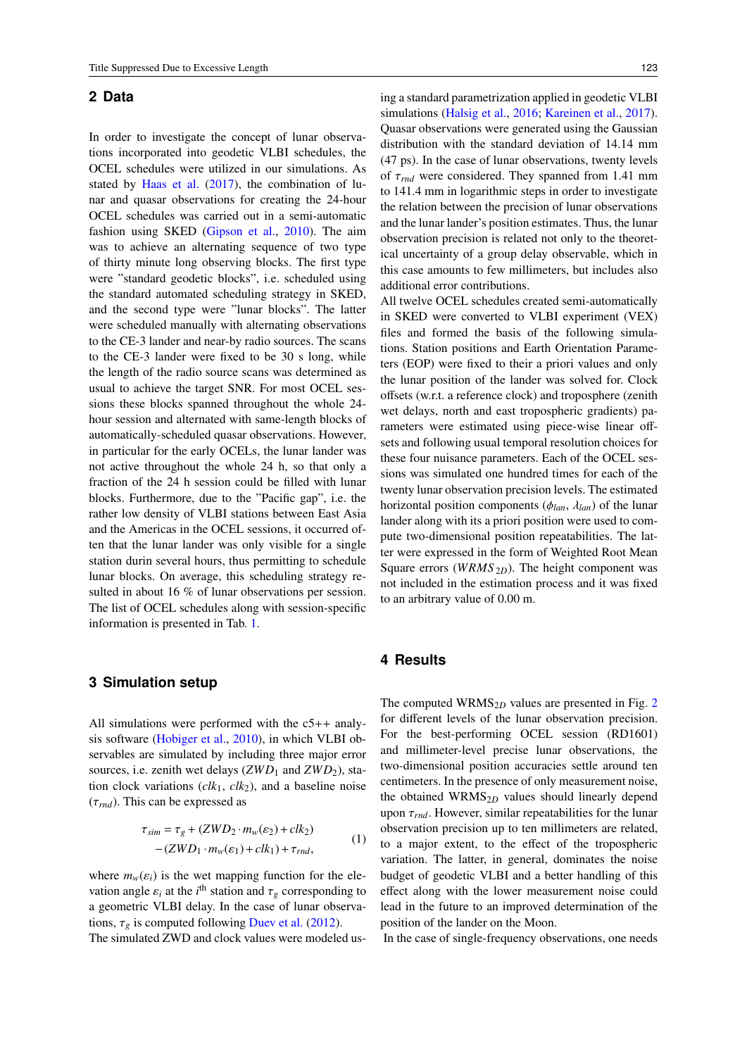### **2 Data**

In order to investigate the concept of lunar observations incorporated into geodetic VLBI schedules, the OCEL schedules were utilized in our simulations. As stated by Haas et al. (2017), the combination of lunar and quasar observations for creating the 24-hour OCEL schedules was carried out in a semi-automatic fashion using SKED (Gipson et al., 2010). The aim was to achieve an alternating sequence of two type of thirty minute long observing blocks. The first type were "standard geodetic blocks", i.e. scheduled using the standard automated scheduling strategy in SKED, and the second type were "lunar blocks". The latter were scheduled manually with alternating observations to the CE-3 lander and near-by radio sources. The scans to the CE-3 lander were fixed to be 30 s long, while the length of the radio source scans was determined as usual to achieve the target SNR. For most OCEL sessions these blocks spanned throughout the whole 24 hour session and alternated with same-length blocks of automatically-scheduled quasar observations. However, in particular for the early OCELs, the lunar lander was not active throughout the whole 24 h, so that only a fraction of the 24 h session could be filled with lunar blocks. Furthermore, due to the "Pacific gap", i.e. the rather low density of VLBI stations between East Asia and the Americas in the OCEL sessions, it occurred often that the lunar lander was only visible for a single station durin several hours, thus permitting to schedule lunar blocks. On average, this scheduling strategy resulted in about 16 % of lunar observations per session. The list of OCEL schedules along with session-specific information is presented in Tab. 1.

#### **3 Simulation setup**

All simulations were performed with the c5++ analysis software (Hobiger et al., 2010), in which VLBI observables are simulated by including three major error sources, i.e. zenith wet delays  $(ZWD_1 \text{ and } ZWD_2)$ , station clock variations (*clk*1, *clk*2), and a baseline noise (τ*rnd*). This can be expressed as

$$
\tau_{sim} = \tau_g + (ZWD_2 \cdot m_w(\varepsilon_2) + clk_2)
$$
  
-(ZWD\_1 \cdot m\_w(\varepsilon\_1) + clk\_1) + \tau\_{rnd}, (1)

where  $m_w(\varepsilon_i)$  is the wet mapping function for the elevation angle  $\varepsilon_i$  at the *i*<sup>th</sup> station and  $\tau_g$  corresponding to a geometric VLBI delay. In the case of lunar observations,  $\tau_g$  is computed following Duev et al. (2012).

The simulated ZWD and clock values were modeled us-

ing a standard parametrization applied in geodetic VLBI simulations (Halsig et al., 2016; Kareinen et al., 2017). Quasar observations were generated using the Gaussian distribution with the standard deviation of 14.14 mm (47 ps). In the case of lunar observations, twenty levels of τ*rnd* were considered. They spanned from 1.41 mm to 141.4 mm in logarithmic steps in order to investigate the relation between the precision of lunar observations and the lunar lander's position estimates. Thus, the lunar observation precision is related not only to the theoretical uncertainty of a group delay observable, which in this case amounts to few millimeters, but includes also additional error contributions.

All twelve OCEL schedules created semi-automatically in SKED were converted to VLBI experiment (VEX) files and formed the basis of the following simulations. Station positions and Earth Orientation Parameters (EOP) were fixed to their a priori values and only the lunar position of the lander was solved for. Clock offsets (w.r.t. a reference clock) and troposphere (zenith wet delays, north and east tropospheric gradients) parameters were estimated using piece-wise linear offsets and following usual temporal resolution choices for these four nuisance parameters. Each of the OCEL sessions was simulated one hundred times for each of the twenty lunar observation precision levels. The estimated horizontal position components (φ*lan*, λ*lan*) of the lunar lander along with its a priori position were used to compute two-dimensional position repeatabilities. The latter were expressed in the form of Weighted Root Mean Square errors (*WRMS* <sub>2*D*</sub>). The height component was not included in the estimation process and it was fixed to an arbitrary value of 0.00 m.

#### **4 Results**

The computed WRMS $_{2D}$  values are presented in Fig. 2 for different levels of the lunar observation precision. For the best-performing OCEL session (RD1601) and millimeter-level precise lunar observations, the two-dimensional position accuracies settle around ten centimeters. In the presence of only measurement noise, the obtained WRMS<sub>2D</sub> values should linearly depend upon  $\tau_{rnd}$ . However, similar repeatabilities for the lunar observation precision up to ten millimeters are related, to a major extent, to the effect of the tropospheric variation. The latter, in general, dominates the noise budget of geodetic VLBI and a better handling of this effect along with the lower measurement noise could lead in the future to an improved determination of the position of the lander on the Moon.

In the case of single-frequency observations, one needs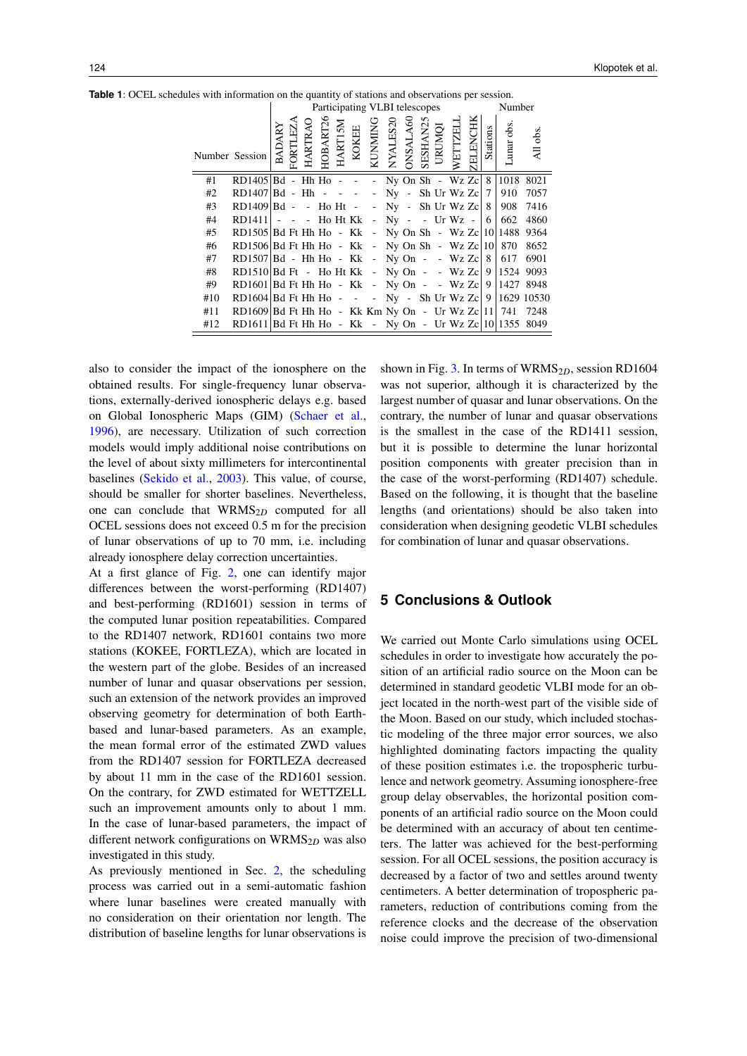|     |                                                              | Participating VLBI telescopes |         |         |          |                |       |                |          |                 |  |                    |         | Number   |          |           |          |
|-----|--------------------------------------------------------------|-------------------------------|---------|---------|----------|----------------|-------|----------------|----------|-----------------|--|--------------------|---------|----------|----------|-----------|----------|
|     | Number Session                                               | BADARY                        | FORTLEZ | HARTRAO | HOBART26 | <b>HARTISM</b> | KOKEE | <b>KUNMING</b> | NYALES20 | <b>ONSALA60</b> |  | SESHAN25<br>URUMQI | WETTZEL | ZELENCHK | Stations | unar obs. | All obs. |
| #1  | RD1405   Bd - Hh Ho - - - Ny On Sh - Wz Zc   $8$   1018 8021 |                               |         |         |          |                |       |                |          |                 |  |                    |         |          |          |           |          |
| #2  | RD1407   Bd - Hh - - - - - Ny - Sh Ur Wz Zc   7   910 7057   |                               |         |         |          |                |       |                |          |                 |  |                    |         |          |          |           |          |
| #3  | RD1409   Bd - - Ho Ht - - Ny - Sh Ur Wz Zc   $8$   908 7416  |                               |         |         |          |                |       |                |          |                 |  |                    |         |          |          |           |          |
| #4  | RD1411 - - - Ho Ht Kk - Ny - - Ur Wz - $ 6 $                 |                               |         |         |          |                |       |                |          |                 |  |                    |         |          |          |           | 662 4860 |
| #5  | RD1505 Bd Ft Hh Ho - Kk - Ny On Sh - Wz Zc   10   1488 9364  |                               |         |         |          |                |       |                |          |                 |  |                    |         |          |          |           |          |
| #6  | RD1506 Bd Ft Hh Ho - Kk - Ny On Sh - Wz Zc   10   870 8652   |                               |         |         |          |                |       |                |          |                 |  |                    |         |          |          |           |          |
| #7  | RD1507   Bd - Hh Ho - Kk - Ny On - - Wz Zc   $8$   617 6901  |                               |         |         |          |                |       |                |          |                 |  |                    |         |          |          |           |          |
| #8  | RD1510 Bd Ft - Ho Ht Kk - Ny On - - Wz Zc 9   1524 9093      |                               |         |         |          |                |       |                |          |                 |  |                    |         |          |          |           |          |
| #9  | RD1601   Bd Ft Hh Ho - Kk - Ny On - - Wz Zc   9   1427 8948  |                               |         |         |          |                |       |                |          |                 |  |                    |         |          |          |           |          |
| #10 | RD1604 Bd Ft Hh Ho - - - Ny - Sh Ur Wz Zc 9   1629 10530     |                               |         |         |          |                |       |                |          |                 |  |                    |         |          |          |           |          |
| #11 | RD1609 Bd Ft Hh Ho - Kk Km Ny On - Ur Wz Zc   11   741 7248  |                               |         |         |          |                |       |                |          |                 |  |                    |         |          |          |           |          |
| #12 | RD1611 Bd Ft Hh Ho - Kk - Ny On - Ur Wz Zc   10   1355 8049  |                               |         |         |          |                |       |                |          |                 |  |                    |         |          |          |           |          |

**Table 1**: OCEL schedules with information on the quantity of stations and observations per session.

also to consider the impact of the ionosphere on the obtained results. For single-frequency lunar observations, externally-derived ionospheric delays e.g. based on Global Ionospheric Maps (GIM) (Schaer et al., 1996), are necessary. Utilization of such correction models would imply additional noise contributions on the level of about sixty millimeters for intercontinental baselines (Sekido et al., 2003). This value, of course, should be smaller for shorter baselines. Nevertheless, one can conclude that WRMS2*<sup>D</sup>* computed for all OCEL sessions does not exceed 0.5 m for the precision of lunar observations of up to 70 mm, i.e. including already ionosphere delay correction uncertainties.

At a first glance of Fig. 2, one can identify major differences between the worst-performing (RD1407) and best-performing (RD1601) session in terms of the computed lunar position repeatabilities. Compared to the RD1407 network, RD1601 contains two more stations (KOKEE, FORTLEZA), which are located in the western part of the globe. Besides of an increased number of lunar and quasar observations per session, such an extension of the network provides an improved observing geometry for determination of both Earthbased and lunar-based parameters. As an example, the mean formal error of the estimated ZWD values from the RD1407 session for FORTLEZA decreased by about 11 mm in the case of the RD1601 session. On the contrary, for ZWD estimated for WETTZELL such an improvement amounts only to about 1 mm. In the case of lunar-based parameters, the impact of different network configurations on WRMS<sub>2D</sub> was also investigated in this study.

As previously mentioned in Sec. 2, the scheduling process was carried out in a semi-automatic fashion where lunar baselines were created manually with no consideration on their orientation nor length. The distribution of baseline lengths for lunar observations is

shown in Fig. 3. In terms of WRMS<sub>2D</sub>, session RD1604 was not superior, although it is characterized by the largest number of quasar and lunar observations. On the contrary, the number of lunar and quasar observations is the smallest in the case of the RD1411 session, but it is possible to determine the lunar horizontal position components with greater precision than in the case of the worst-performing (RD1407) schedule. Based on the following, it is thought that the baseline lengths (and orientations) should be also taken into consideration when designing geodetic VLBI schedules for combination of lunar and quasar observations.

## **5 Conclusions & Outlook**

We carried out Monte Carlo simulations using OCEL schedules in order to investigate how accurately the position of an artificial radio source on the Moon can be determined in standard geodetic VLBI mode for an object located in the north-west part of the visible side of the Moon. Based on our study, which included stochastic modeling of the three major error sources, we also highlighted dominating factors impacting the quality of these position estimates i.e. the tropospheric turbulence and network geometry. Assuming ionosphere-free group delay observables, the horizontal position components of an artificial radio source on the Moon could be determined with an accuracy of about ten centimeters. The latter was achieved for the best-performing session. For all OCEL sessions, the position accuracy is decreased by a factor of two and settles around twenty centimeters. A better determination of tropospheric parameters, reduction of contributions coming from the reference clocks and the decrease of the observation noise could improve the precision of two-dimensional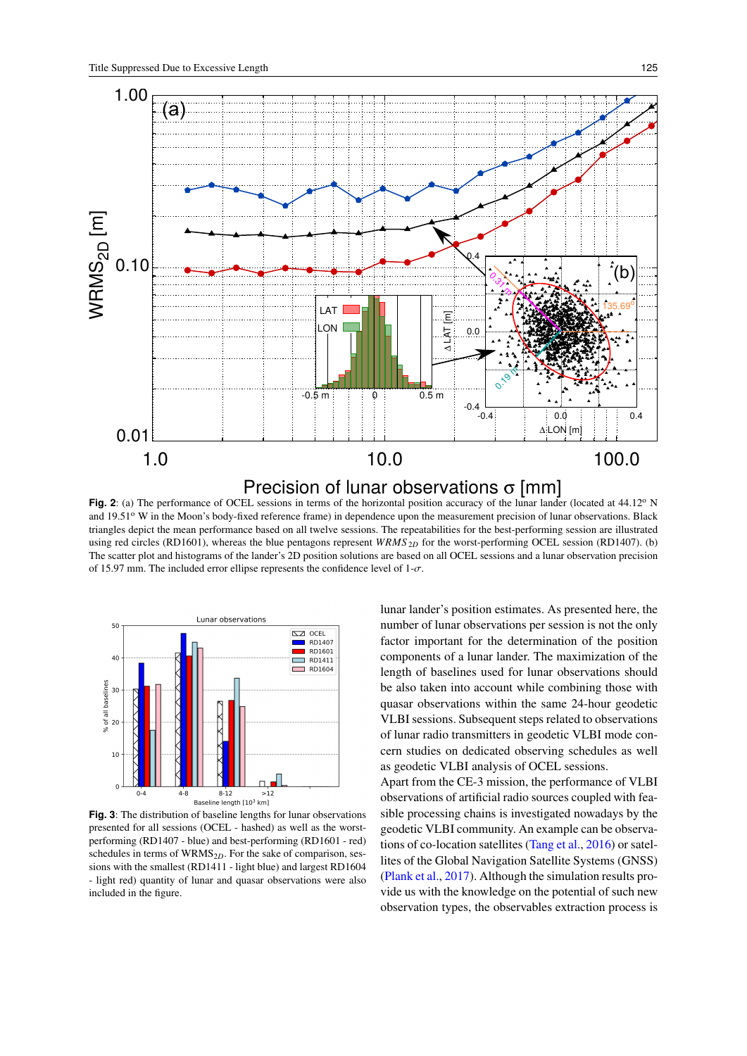

**Fig. 2**: (a) The performance of OCEL sessions in terms of the horizontal position accuracy of the lunar lander (located at 44.12<sup>o</sup> N and 19.51° W in the Moon's body-fixed reference frame) in dependence upon the measurement precision of lunar observations. Black triangles depict the mean performance based on all twelve sessions. The repeatabilities for the best-performing session are illustrated using red circles (RD1601), whereas the blue pentagons represent *WRMS* <sub>2D</sub> for the worst-performing OCEL session (RD1407). (b) The scatter plot and histograms of the lander's 2D position solutions are based on all OCEL sessions and a lunar observation precision of 15.97 mm. The included error ellipse represents the confidence level of  $1-\sigma$ .



**Fig. 3**: The distribution of baseline lengths for lunar observations presented for all sessions (OCEL - hashed) as well as the worstperforming (RD1407 - blue) and best-performing (RD1601 - red) schedules in terms of WRMS<sub>2D</sub>. For the sake of comparison, sessions with the smallest (RD1411 - light blue) and largest RD1604 - light red) quantity of lunar and quasar observations were also included in the figure.

lunar lander's position estimates. As presented here, the number of lunar observations per session is not the only factor important for the determination of the position components of a lunar lander. The maximization of the length of baselines used for lunar observations should be also taken into account while combining those with quasar observations within the same 24-hour geodetic VLBI sessions. Subsequent steps related to observations of lunar radio transmitters in geodetic VLBI mode concern studies on dedicated observing schedules as well as geodetic VLBI analysis of OCEL sessions.

Apart from the CE-3 mission, the performance of VLBI observations of artificial radio sources coupled with feasible processing chains is investigated nowadays by the geodetic VLBI community. An example can be observations of co-location satellites (Tang et al., 2016) or satellites of the Global Navigation Satellite Systems (GNSS) (Plank et al., 2017). Although the simulation results provide us with the knowledge on the potential of such new observation types, the observables extraction process is